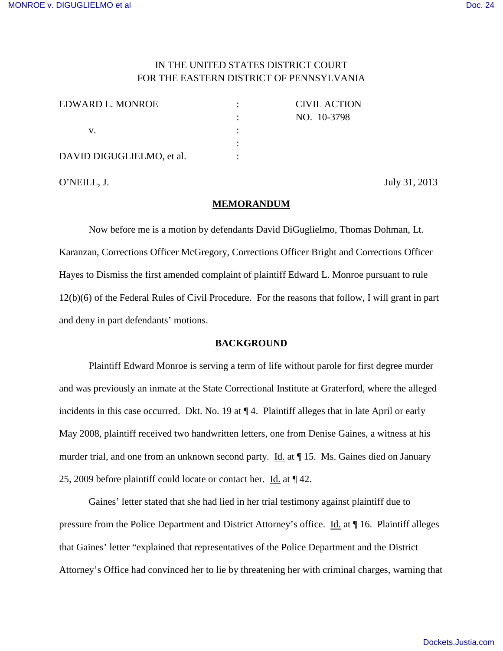# IN THE UNITED STATES DISTRICT COURT FOR THE EASTERN DISTRICT OF PENNSYLVANIA

| EDWARD L. MONROE          | <b>CIVIL ACTION</b> |
|---------------------------|---------------------|
|                           | NO. 10-3798         |
|                           |                     |
|                           |                     |
| DAVID DIGUGLIELMO, et al. |                     |

O'NEILL, J. July 31, 2013

### **MEMORANDUM**

Now before me is a motion by defendants David DiGuglielmo, Thomas Dohman, Lt. Karanzan, Corrections Officer McGregory, Corrections Officer Bright and Corrections Officer Hayes to Dismiss the first amended complaint of plaintiff Edward L. Monroe pursuant to rule 12(b)(6) of the Federal Rules of Civil Procedure. For the reasons that follow, I will grant in part and deny in part defendants' motions.

# **BACKGROUND**

 Plaintiff Edward Monroe is serving a term of life without parole for first degree murder and was previously an inmate at the State Correctional Institute at Graterford, where the alleged incidents in this case occurred. Dkt. No. 19 at ¶ 4. Plaintiff alleges that in late April or early May 2008, plaintiff received two handwritten letters, one from Denise Gaines, a witness at his murder trial, and one from an unknown second party. Id. at ¶ 15. Ms. Gaines died on January 25, 2009 before plaintiff could locate or contact her. Id. at ¶ 42.

Gaines' letter stated that she had lied in her trial testimony against plaintiff due to pressure from the Police Department and District Attorney's office. Id. at ¶ 16. Plaintiff alleges that Gaines' letter "explained that representatives of the Police Department and the District Attorney's Office had convinced her to lie by threatening her with criminal charges, warning that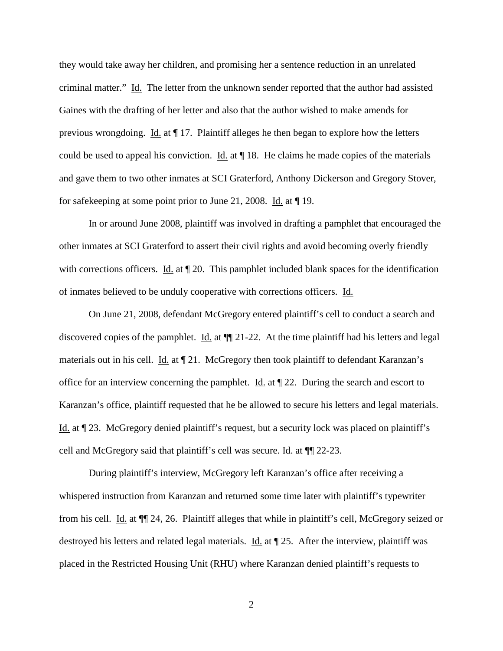they would take away her children, and promising her a sentence reduction in an unrelated criminal matter." Id. The letter from the unknown sender reported that the author had assisted Gaines with the drafting of her letter and also that the author wished to make amends for previous wrongdoing. Id. at ¶ 17. Plaintiff alleges he then began to explore how the letters could be used to appeal his conviction. Id. at ¶ 18. He claims he made copies of the materials and gave them to two other inmates at SCI Graterford, Anthony Dickerson and Gregory Stover, for safekeeping at some point prior to June 21, 2008. Id. at ¶ 19.

In or around June 2008, plaintiff was involved in drafting a pamphlet that encouraged the other inmates at SCI Graterford to assert their civil rights and avoid becoming overly friendly with corrections officers. Id. at  $\P$  20. This pamphlet included blank spaces for the identification of inmates believed to be unduly cooperative with corrections officers. Id.

On June 21, 2008, defendant McGregory entered plaintiff's cell to conduct a search and discovered copies of the pamphlet. Id. at  $\P$  21-22. At the time plaintiff had his letters and legal materials out in his cell. Id. at ¶ 21. McGregory then took plaintiff to defendant Karanzan's office for an interview concerning the pamphlet. Id. at  $\P$  22. During the search and escort to Karanzan's office, plaintiff requested that he be allowed to secure his letters and legal materials. Id. at ¶ 23. McGregory denied plaintiff's request, but a security lock was placed on plaintiff's cell and McGregory said that plaintiff's cell was secure. Id. at  $\P$  22-23.

During plaintiff's interview, McGregory left Karanzan's office after receiving a whispered instruction from Karanzan and returned some time later with plaintiff's typewriter from his cell. Id. at ¶¶ 24, 26. Plaintiff alleges that while in plaintiff's cell, McGregory seized or destroyed his letters and related legal materials. Id. at ¶ 25. After the interview, plaintiff was placed in the Restricted Housing Unit (RHU) where Karanzan denied plaintiff's requests to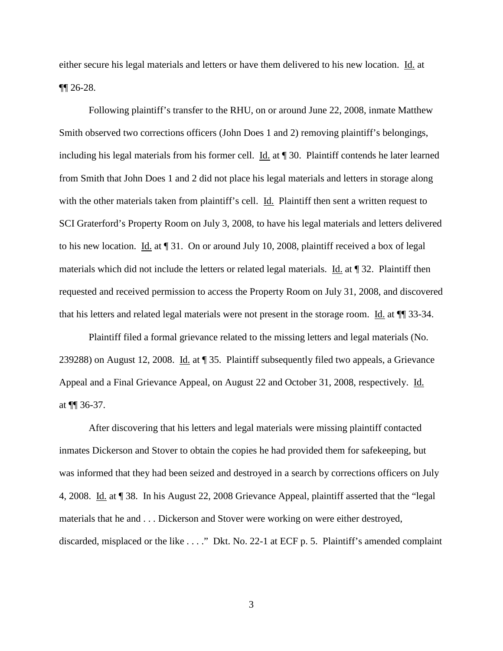either secure his legal materials and letters or have them delivered to his new location. Id. at ¶¶ 26-28.

Following plaintiff's transfer to the RHU, on or around June 22, 2008, inmate Matthew Smith observed two corrections officers (John Does 1 and 2) removing plaintiff's belongings, including his legal materials from his former cell. Id. at ¶ 30. Plaintiff contends he later learned from Smith that John Does 1 and 2 did not place his legal materials and letters in storage along with the other materials taken from plaintiff's cell. Id. Plaintiff then sent a written request to SCI Graterford's Property Room on July 3, 2008, to have his legal materials and letters delivered to his new location. Id. at ¶ 31. On or around July 10, 2008, plaintiff received a box of legal materials which did not include the letters or related legal materials. Id. at ¶ 32. Plaintiff then requested and received permission to access the Property Room on July 31, 2008, and discovered that his letters and related legal materials were not present in the storage room. Id. at ¶¶ 33-34.

Plaintiff filed a formal grievance related to the missing letters and legal materials (No. 239288) on August 12, 2008. Id. at ¶ 35. Plaintiff subsequently filed two appeals, a Grievance Appeal and a Final Grievance Appeal, on August 22 and October 31, 2008, respectively. Id. at ¶¶ 36-37.

After discovering that his letters and legal materials were missing plaintiff contacted inmates Dickerson and Stover to obtain the copies he had provided them for safekeeping, but was informed that they had been seized and destroyed in a search by corrections officers on July 4, 2008. Id. at ¶ 38. In his August 22, 2008 Grievance Appeal, plaintiff asserted that the "legal materials that he and . . . Dickerson and Stover were working on were either destroyed, discarded, misplaced or the like . . . ." Dkt. No. 22-1 at ECF p. 5. Plaintiff's amended complaint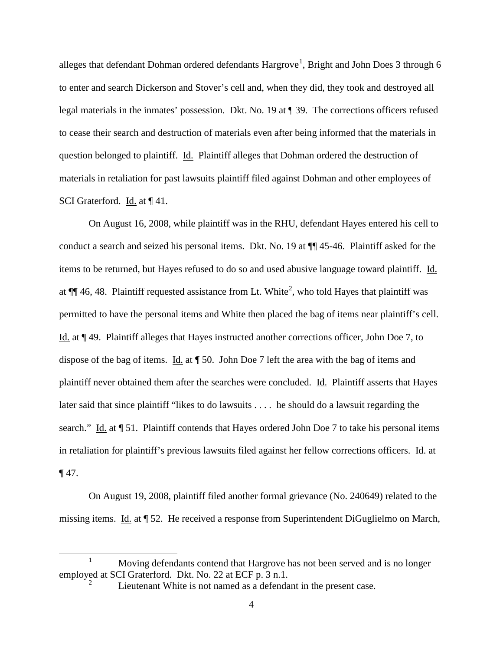alleges that defendant Dohman ordered defendants  $\operatorname{Hargrove}^1$  $\operatorname{Hargrove}^1$ , Bright and John Does 3 through 6 to enter and search Dickerson and Stover's cell and, when they did, they took and destroyed all legal materials in the inmates' possession. Dkt. No. 19 at ¶ 39. The corrections officers refused to cease their search and destruction of materials even after being informed that the materials in question belonged to plaintiff. Id. Plaintiff alleges that Dohman ordered the destruction of materials in retaliation for past lawsuits plaintiff filed against Dohman and other employees of SCI Graterford. Id. at ¶ 41.

On August 16, 2008, while plaintiff was in the RHU, defendant Hayes entered his cell to conduct a search and seized his personal items. Dkt. No. 19 at ¶¶ 45-46. Plaintiff asked for the items to be returned, but Hayes refused to do so and used abusive language toward plaintiff. Id. at  $\P$  46, 48. Plaintiff requested assistance from Lt. White<sup>[2](#page-3-1)</sup>, who told Hayes that plaintiff was permitted to have the personal items and White then placed the bag of items near plaintiff's cell. Id. at ¶ 49. Plaintiff alleges that Hayes instructed another corrections officer, John Doe 7, to dispose of the bag of items. Id. at ¶ 50. John Doe 7 left the area with the bag of items and plaintiff never obtained them after the searches were concluded. Id. Plaintiff asserts that Hayes later said that since plaintiff "likes to do lawsuits . . . . he should do a lawsuit regarding the search." Id. at  $\P$  51. Plaintiff contends that Hayes ordered John Doe 7 to take his personal items in retaliation for plaintiff's previous lawsuits filed against her fellow corrections officers. Id. at ¶ 47.

On August 19, 2008, plaintiff filed another formal grievance (No. 240649) related to the missing items. Id. at ¶ 52. He received a response from Superintendent DiGuglielmo on March,

 $\overline{a}$ 

<span id="page-3-1"></span><span id="page-3-0"></span><sup>1</sup> Moving defendants contend that Hargrove has not been served and is no longer employed at SCI Graterford. Dkt. No. 22 at ECF p. 3 n.1. 2

Lieutenant White is not named as a defendant in the present case.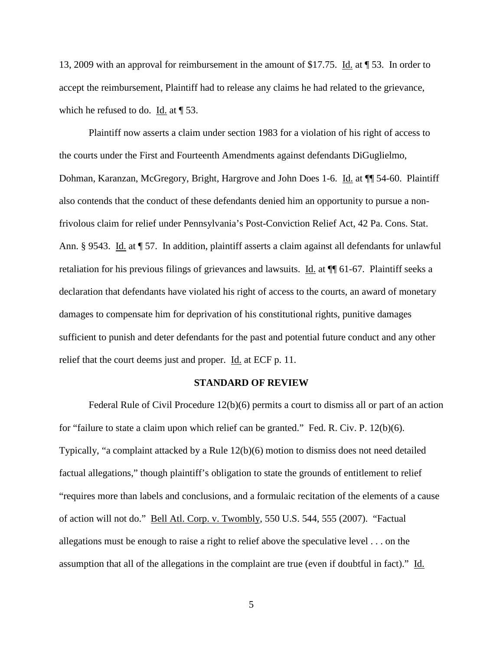13, 2009 with an approval for reimbursement in the amount of \$17.75. Id. at ¶ 53. In order to accept the reimbursement, Plaintiff had to release any claims he had related to the grievance, which he refused to do. Id. at  $\P$  53.

Plaintiff now asserts a claim under section 1983 for a violation of his right of access to the courts under the First and Fourteenth Amendments against defendants DiGuglielmo, Dohman, Karanzan, McGregory, Bright, Hargrove and John Does 1-6. Id. at ¶¶ 54-60. Plaintiff also contends that the conduct of these defendants denied him an opportunity to pursue a nonfrivolous claim for relief under Pennsylvania's Post-Conviction Relief Act, 42 Pa. Cons. Stat. Ann. § 9543. Id. at ¶ 57. In addition, plaintiff asserts a claim against all defendants for unlawful retaliation for his previous filings of grievances and lawsuits. Id. at ¶¶ 61-67. Plaintiff seeks a declaration that defendants have violated his right of access to the courts, an award of monetary damages to compensate him for deprivation of his constitutional rights, punitive damages sufficient to punish and deter defendants for the past and potential future conduct and any other relief that the court deems just and proper. Id. at ECF p. 11.

#### **STANDARD OF REVIEW**

 Federal Rule of Civil Procedure 12(b)(6) permits a court to dismiss all or part of an action for "failure to state a claim upon which relief can be granted." Fed. R. Civ. P. 12(b)(6). Typically, "a complaint attacked by a Rule 12(b)(6) motion to dismiss does not need detailed factual allegations," though plaintiff's obligation to state the grounds of entitlement to relief "requires more than labels and conclusions, and a formulaic recitation of the elements of a cause of action will not do." Bell Atl. Corp. v. Twombly, 550 U.S. 544, 555 (2007). "Factual allegations must be enough to raise a right to relief above the speculative level . . . on the assumption that all of the allegations in the complaint are true (even if doubtful in fact)." Id.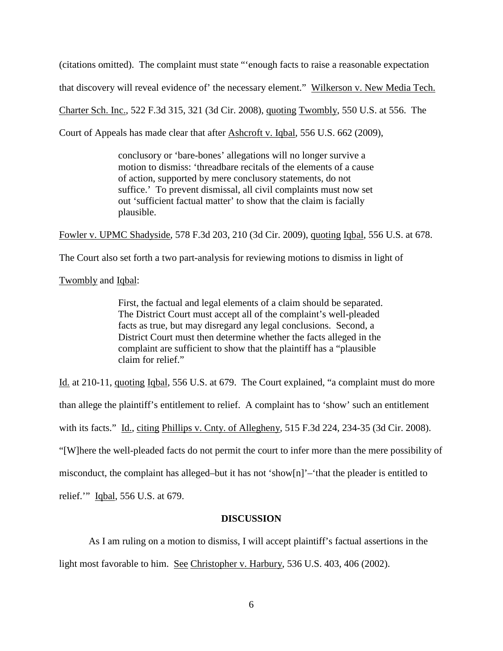(citations omitted). The complaint must state "'enough facts to raise a reasonable expectation

that discovery will reveal evidence of' the necessary element." Wilkerson v. New Media Tech.

Charter Sch. Inc., 522 F.3d 315, 321 (3d Cir. 2008), quoting Twombly, 550 U.S. at 556. The

Court of Appeals has made clear that after Ashcroft v. Iqbal, 556 U.S. 662 (2009),

conclusory or 'bare-bones' allegations will no longer survive a motion to dismiss: 'threadbare recitals of the elements of a cause of action, supported by mere conclusory statements, do not suffice.' To prevent dismissal, all civil complaints must now set out 'sufficient factual matter' to show that the claim is facially plausible.

Fowler v. UPMC Shadyside, 578 F.3d 203, 210 (3d Cir. 2009), quoting Iqbal, 556 U.S. at 678.

The Court also set forth a two part-analysis for reviewing motions to dismiss in light of

Twombly and Iqbal:

First, the factual and legal elements of a claim should be separated. The District Court must accept all of the complaint's well-pleaded facts as true, but may disregard any legal conclusions. Second, a District Court must then determine whether the facts alleged in the complaint are sufficient to show that the plaintiff has a "plausible claim for relief."

Id. at 210-11, quoting Iqbal, 556 U.S. at 679. The Court explained, "a complaint must do more than allege the plaintiff's entitlement to relief. A complaint has to 'show' such an entitlement with its facts." Id., citing Phillips v. Cnty. of Allegheny, 515 F.3d 224, 234-35 (3d Cir. 2008). "[W]here the well-pleaded facts do not permit the court to infer more than the mere possibility of misconduct, the complaint has alleged–but it has not 'show[n]'–'that the pleader is entitled to relief.'" Iqbal, 556 U.S. at 679.

#### **DISCUSSION**

As I am ruling on a motion to dismiss, I will accept plaintiff's factual assertions in the light most favorable to him. See Christopher v. Harbury, 536 U.S. 403, 406 (2002).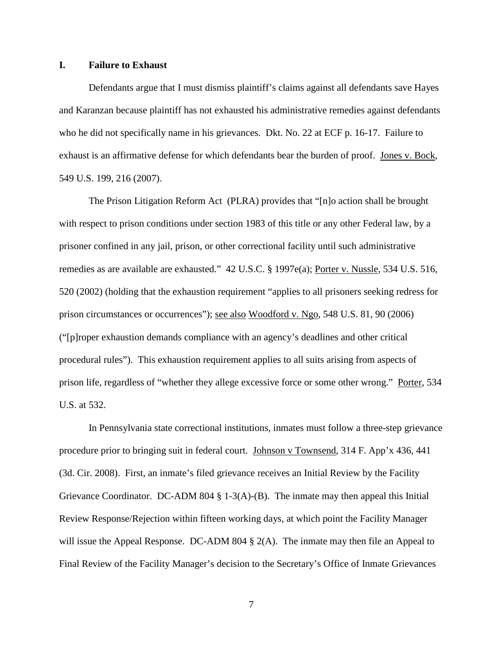## **I. Failure to Exhaust**

Defendants argue that I must dismiss plaintiff's claims against all defendants save Hayes and Karanzan because plaintiff has not exhausted his administrative remedies against defendants who he did not specifically name in his grievances. Dkt. No. 22 at ECF p. 16-17. Failure to exhaust is an affirmative defense for which defendants bear the burden of proof. Jones v. Bock, 549 U.S. 199, 216 (2007).

The Prison Litigation Reform Act (PLRA) provides that "[n]o action shall be brought with respect to prison conditions under section 1983 of this title or any other Federal law, by a prisoner confined in any jail, prison, or other correctional facility until such administrative remedies as are available are exhausted." 42 U.S.C. § 1997e(a); Porter v. Nussle, 534 U.S. 516, 520 (2002) (holding that the exhaustion requirement "applies to all prisoners seeking redress for prison circumstances or occurrences"); see also Woodford v. Ngo, 548 U.S. 81, 90 (2006) ("[p]roper exhaustion demands compliance with an agency's deadlines and other critical procedural rules"). This exhaustion requirement applies to all suits arising from aspects of prison life, regardless of "whether they allege excessive force or some other wrong." Porter, 534 U.S. at 532.

 In Pennsylvania state correctional institutions, inmates must follow a three-step grievance procedure prior to bringing suit in federal court. Johnson v Townsend, 314 F. App'x 436, 441 (3d. Cir. 2008). First, an inmate's filed grievance receives an Initial Review by the Facility Grievance Coordinator. DC-ADM 804  $\S$  1-3(A)-(B). The inmate may then appeal this Initial Review Response/Rejection within fifteen working days, at which point the Facility Manager will issue the Appeal Response. DC-ADM 804  $\S$  2(A). The inmate may then file an Appeal to Final Review of the Facility Manager's decision to the Secretary's Office of Inmate Grievances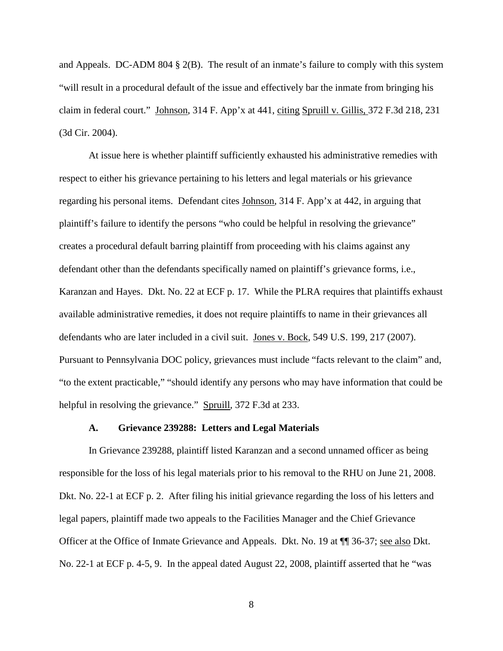and Appeals. DC-ADM 804 § 2(B). The result of an inmate's failure to comply with this system "will result in a procedural default of the issue and effectively bar the inmate from bringing his claim in federal court." Johnson, 314 F. App'x at 441, citing Spruill v. Gillis, 372 F.3d 218, 231 (3d Cir. 2004).

At issue here is whether plaintiff sufficiently exhausted his administrative remedies with respect to either his grievance pertaining to his letters and legal materials or his grievance regarding his personal items. Defendant cites Johnson, 314 F. App'x at 442, in arguing that plaintiff's failure to identify the persons "who could be helpful in resolving the grievance" creates a procedural default barring plaintiff from proceeding with his claims against any defendant other than the defendants specifically named on plaintiff's grievance forms, i.e., Karanzan and Hayes. Dkt. No. 22 at ECF p. 17. While the PLRA requires that plaintiffs exhaust available administrative remedies, it does not require plaintiffs to name in their grievances all defendants who are later included in a civil suit. Jones v. Bock, 549 U.S. 199, 217 (2007). Pursuant to Pennsylvania DOC policy, grievances must include "facts relevant to the claim" and, "to the extent practicable," "should identify any persons who may have information that could be helpful in resolving the grievance." Spruill, 372 F.3d at 233.

## **A. Grievance 239288: Letters and Legal Materials**

 In Grievance 239288, plaintiff listed Karanzan and a second unnamed officer as being responsible for the loss of his legal materials prior to his removal to the RHU on June 21, 2008. Dkt. No. 22-1 at ECF p. 2. After filing his initial grievance regarding the loss of his letters and legal papers, plaintiff made two appeals to the Facilities Manager and the Chief Grievance Officer at the Office of Inmate Grievance and Appeals. Dkt. No. 19 at ¶¶ 36-37; see also Dkt. No. 22-1 at ECF p. 4-5, 9. In the appeal dated August 22, 2008, plaintiff asserted that he "was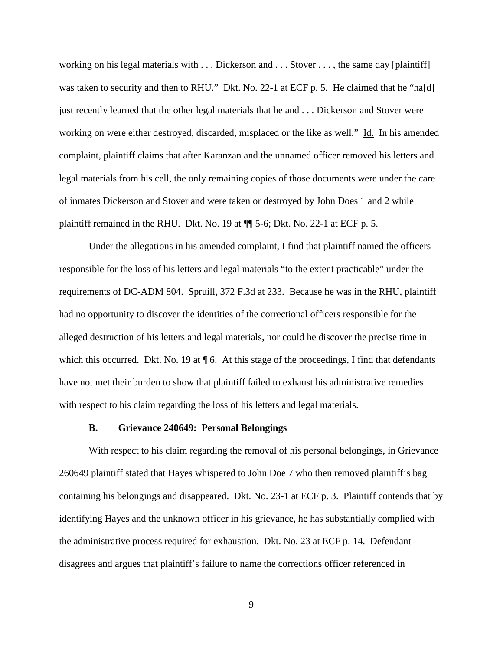working on his legal materials with . . . Dickerson and . . . Stover . . . , the same day [plaintiff] was taken to security and then to RHU." Dkt. No. 22-1 at ECF p. 5. He claimed that he "ha[d] just recently learned that the other legal materials that he and . . . Dickerson and Stover were working on were either destroyed, discarded, misplaced or the like as well." Id. In his amended complaint, plaintiff claims that after Karanzan and the unnamed officer removed his letters and legal materials from his cell, the only remaining copies of those documents were under the care of inmates Dickerson and Stover and were taken or destroyed by John Does 1 and 2 while plaintiff remained in the RHU. Dkt. No. 19 at ¶¶ 5-6; Dkt. No. 22-1 at ECF p. 5.

 Under the allegations in his amended complaint, I find that plaintiff named the officers responsible for the loss of his letters and legal materials "to the extent practicable" under the requirements of DC-ADM 804. Spruill, 372 F.3d at 233. Because he was in the RHU, plaintiff had no opportunity to discover the identities of the correctional officers responsible for the alleged destruction of his letters and legal materials, nor could he discover the precise time in which this occurred. Dkt. No. 19 at  $\P$  6. At this stage of the proceedings, I find that defendants have not met their burden to show that plaintiff failed to exhaust his administrative remedies with respect to his claim regarding the loss of his letters and legal materials.

## **B. Grievance 240649: Personal Belongings**

With respect to his claim regarding the removal of his personal belongings, in Grievance 260649 plaintiff stated that Hayes whispered to John Doe 7 who then removed plaintiff's bag containing his belongings and disappeared. Dkt. No. 23-1 at ECF p. 3. Plaintiff contends that by identifying Hayes and the unknown officer in his grievance, he has substantially complied with the administrative process required for exhaustion. Dkt. No. 23 at ECF p. 14. Defendant disagrees and argues that plaintiff's failure to name the corrections officer referenced in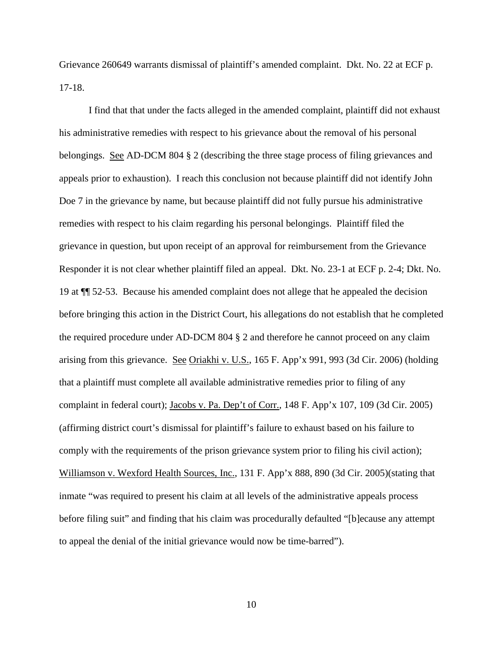Grievance 260649 warrants dismissal of plaintiff's amended complaint. Dkt. No. 22 at ECF p. 17-18.

I find that that under the facts alleged in the amended complaint, plaintiff did not exhaust his administrative remedies with respect to his grievance about the removal of his personal belongings. See AD-DCM 804 § 2 (describing the three stage process of filing grievances and appeals prior to exhaustion). I reach this conclusion not because plaintiff did not identify John Doe 7 in the grievance by name, but because plaintiff did not fully pursue his administrative remedies with respect to his claim regarding his personal belongings. Plaintiff filed the grievance in question, but upon receipt of an approval for reimbursement from the Grievance Responder it is not clear whether plaintiff filed an appeal. Dkt. No. 23-1 at ECF p. 2-4; Dkt. No. 19 at ¶¶ 52-53. Because his amended complaint does not allege that he appealed the decision before bringing this action in the District Court, his allegations do not establish that he completed the required procedure under AD-DCM 804 § 2 and therefore he cannot proceed on any claim arising from this grievance. See Oriakhi v. U.S., 165 F. App'x 991, 993 (3d Cir. 2006) (holding that a plaintiff must complete all available administrative remedies prior to filing of any complaint in federal court); Jacobs v. Pa. Dep't of Corr., 148 F. App'x 107, 109 (3d Cir. 2005) (affirming district court's dismissal for plaintiff's failure to exhaust based on his failure to comply with the requirements of the prison grievance system prior to filing his civil action); Williamson v. Wexford Health Sources, Inc., 131 F. App'x 888, 890 (3d Cir. 2005) (stating that inmate "was required to present his claim at all levels of the administrative appeals process before filing suit" and finding that his claim was procedurally defaulted "[b]ecause any attempt to appeal the denial of the initial grievance would now be time-barred").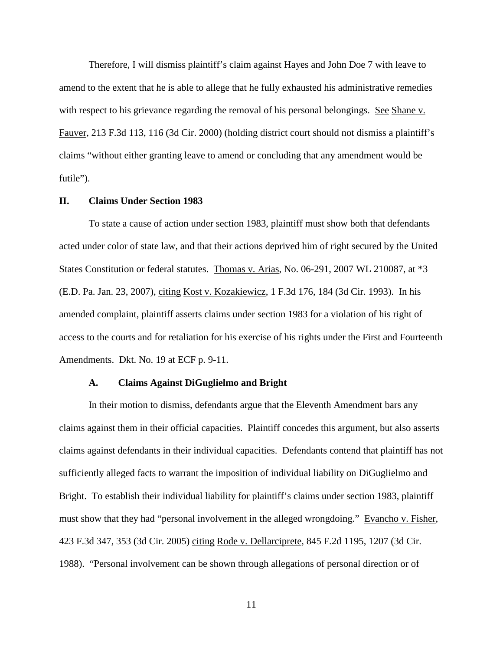Therefore, I will dismiss plaintiff's claim against Hayes and John Doe 7 with leave to amend to the extent that he is able to allege that he fully exhausted his administrative remedies with respect to his grievance regarding the removal of his personal belongings. See Shane v. Fauver, 213 F.3d 113, 116 (3d Cir. 2000) (holding district court should not dismiss a plaintiff's claims "without either granting leave to amend or concluding that any amendment would be futile").

## **II. Claims Under Section 1983**

To state a cause of action under section 1983, plaintiff must show both that defendants acted under color of state law, and that their actions deprived him of right secured by the United States Constitution or federal statutes. Thomas v. Arias, No. 06-291, 2007 WL 210087, at \*3 (E.D. Pa. Jan. 23, 2007), citing Kost v. Kozakiewicz, 1 F.3d 176, 184 (3d Cir. 1993). In his amended complaint, plaintiff asserts claims under section 1983 for a violation of his right of access to the courts and for retaliation for his exercise of his rights under the First and Fourteenth Amendments. Dkt. No. 19 at ECF p. 9-11.

#### **A. Claims Against DiGuglielmo and Bright**

 In their motion to dismiss, defendants argue that the Eleventh Amendment bars any claims against them in their official capacities. Plaintiff concedes this argument, but also asserts claims against defendants in their individual capacities. Defendants contend that plaintiff has not sufficiently alleged facts to warrant the imposition of individual liability on DiGuglielmo and Bright. To establish their individual liability for plaintiff's claims under section 1983, plaintiff must show that they had "personal involvement in the alleged wrongdoing." Evancho v. Fisher, 423 F.3d 347, 353 (3d Cir. 2005) citing Rode v. Dellarciprete, 845 F.2d 1195, 1207 (3d Cir. 1988). "Personal involvement can be shown through allegations of personal direction or of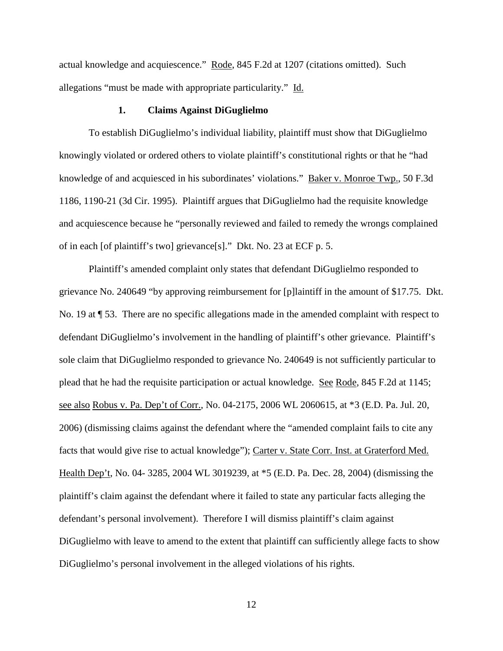actual knowledge and acquiescence." Rode, 845 F.2d at 1207 (citations omitted). Such allegations "must be made with appropriate particularity." Id.

#### **1. Claims Against DiGuglielmo**

To establish DiGuglielmo's individual liability, plaintiff must show that DiGuglielmo knowingly violated or ordered others to violate plaintiff's constitutional rights or that he "had knowledge of and acquiesced in his subordinates' violations." Baker v. Monroe Twp., 50 F.3d 1186, 1190-21 (3d Cir. 1995). Plaintiff argues that DiGuglielmo had the requisite knowledge and acquiescence because he "personally reviewed and failed to remedy the wrongs complained of in each [of plaintiff's two] grievance[s]." Dkt. No. 23 at ECF p. 5.

Plaintiff's amended complaint only states that defendant DiGuglielmo responded to grievance No. 240649 "by approving reimbursement for [p]laintiff in the amount of \$17.75. Dkt. No. 19 at ¶ 53. There are no specific allegations made in the amended complaint with respect to defendant DiGuglielmo's involvement in the handling of plaintiff's other grievance. Plaintiff's sole claim that DiGuglielmo responded to grievance No. 240649 is not sufficiently particular to plead that he had the requisite participation or actual knowledge. See Rode, 845 F.2d at 1145; see also Robus v. Pa. Dep't of Corr., No. 04-2175, 2006 WL 2060615, at \*3 (E.D. Pa. Jul. 20, 2006) (dismissing claims against the defendant where the "amended complaint fails to cite any facts that would give rise to actual knowledge"); Carter v. State Corr. Inst. at Graterford Med. Health Dep't, No. 04- 3285, 2004 WL 3019239, at \*5 (E.D. Pa. Dec. 28, 2004) (dismissing the plaintiff's claim against the defendant where it failed to state any particular facts alleging the defendant's personal involvement). Therefore I will dismiss plaintiff's claim against DiGuglielmo with leave to amend to the extent that plaintiff can sufficiently allege facts to show DiGuglielmo's personal involvement in the alleged violations of his rights.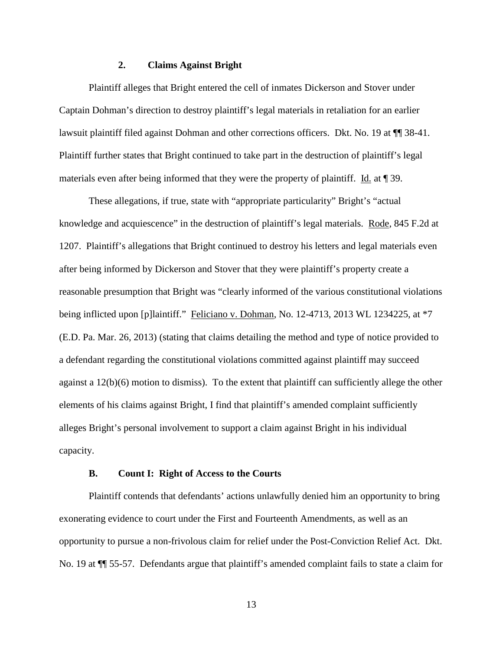# **2. Claims Against Bright**

 Plaintiff alleges that Bright entered the cell of inmates Dickerson and Stover under Captain Dohman's direction to destroy plaintiff's legal materials in retaliation for an earlier lawsuit plaintiff filed against Dohman and other corrections officers. Dkt. No. 19 at ¶¶ 38-41. Plaintiff further states that Bright continued to take part in the destruction of plaintiff's legal materials even after being informed that they were the property of plaintiff. Id. at ¶ 39.

These allegations, if true, state with "appropriate particularity" Bright's "actual knowledge and acquiescence" in the destruction of plaintiff's legal materials. Rode, 845 F.2d at 1207. Plaintiff's allegations that Bright continued to destroy his letters and legal materials even after being informed by Dickerson and Stover that they were plaintiff's property create a reasonable presumption that Bright was "clearly informed of the various constitutional violations being inflicted upon [p]laintiff." Feliciano v. Dohman, No. 12-4713, 2013 WL 1234225, at  $*7$ (E.D. Pa. Mar. 26, 2013) (stating that claims detailing the method and type of notice provided to a defendant regarding the constitutional violations committed against plaintiff may succeed against a 12(b)(6) motion to dismiss). To the extent that plaintiff can sufficiently allege the other elements of his claims against Bright, I find that plaintiff's amended complaint sufficiently alleges Bright's personal involvement to support a claim against Bright in his individual capacity.

## **B. Count I: Right of Access to the Courts**

Plaintiff contends that defendants' actions unlawfully denied him an opportunity to bring exonerating evidence to court under the First and Fourteenth Amendments, as well as an opportunity to pursue a non-frivolous claim for relief under the Post-Conviction Relief Act. Dkt. No. 19 at ¶¶ 55-57. Defendants argue that plaintiff's amended complaint fails to state a claim for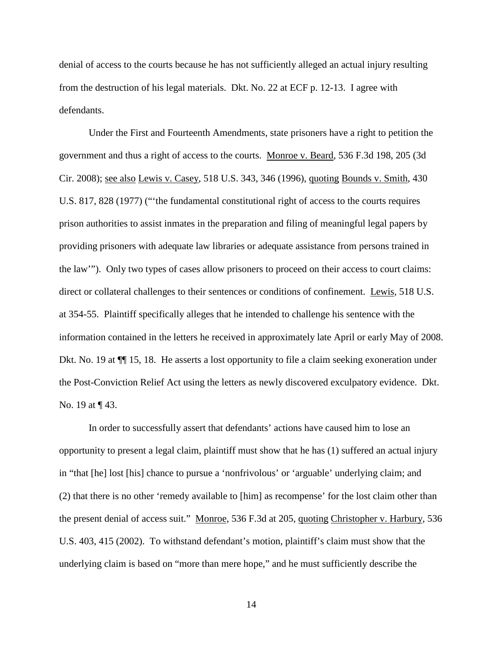denial of access to the courts because he has not sufficiently alleged an actual injury resulting from the destruction of his legal materials. Dkt. No. 22 at ECF p. 12-13. I agree with defendants.

 Under the First and Fourteenth Amendments, state prisoners have a right to petition the government and thus a right of access to the courts. Monroe v. Beard, 536 F.3d 198, 205 (3d Cir. 2008); see also Lewis v. Casey, 518 U.S. 343, 346 (1996), quoting Bounds v. Smith, 430 U.S. 817, 828 (1977) ("'the fundamental constitutional right of access to the courts requires prison authorities to assist inmates in the preparation and filing of meaningful legal papers by providing prisoners with adequate law libraries or adequate assistance from persons trained in the law'"). Only two types of cases allow prisoners to proceed on their access to court claims: direct or collateral challenges to their sentences or conditions of confinement. Lewis, 518 U.S. at 354-55. Plaintiff specifically alleges that he intended to challenge his sentence with the information contained in the letters he received in approximately late April or early May of 2008. Dkt. No. 19 at ¶¶ 15, 18. He asserts a lost opportunity to file a claim seeking exoneration under the Post-Conviction Relief Act using the letters as newly discovered exculpatory evidence. Dkt. No. 19 at ¶ 43.

 In order to successfully assert that defendants' actions have caused him to lose an opportunity to present a legal claim, plaintiff must show that he has (1) suffered an actual injury in "that [he] lost [his] chance to pursue a 'nonfrivolous' or 'arguable' underlying claim; and (2) that there is no other 'remedy available to [him] as recompense' for the lost claim other than the present denial of access suit." Monroe, 536 F.3d at 205, quoting Christopher v. Harbury, 536 U.S. 403, 415 (2002). To withstand defendant's motion, plaintiff's claim must show that the underlying claim is based on "more than mere hope," and he must sufficiently describe the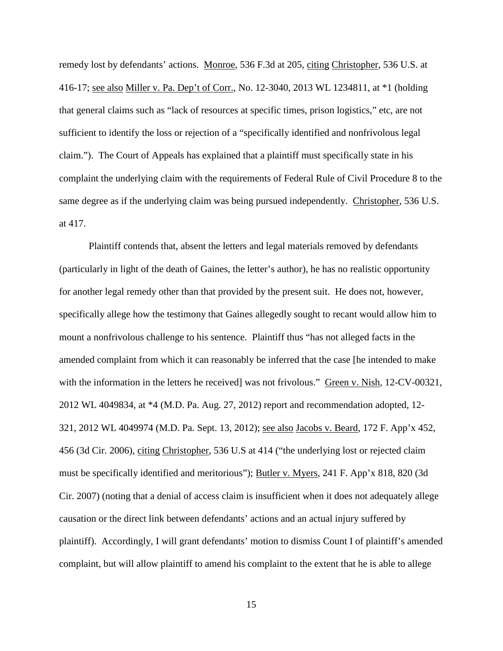remedy lost by defendants' actions. Monroe, 536 F.3d at 205, citing Christopher, 536 U.S. at 416-17; see also Miller v. Pa. Dep't of Corr., No. 12-3040, 2013 WL 1234811, at \*1 (holding that general claims such as "lack of resources at specific times, prison logistics," etc, are not sufficient to identify the loss or rejection of a "specifically identified and nonfrivolous legal claim."). The Court of Appeals has explained that a plaintiff must specifically state in his complaint the underlying claim with the requirements of Federal Rule of Civil Procedure 8 to the same degree as if the underlying claim was being pursued independently. Christopher, 536 U.S. at 417.

Plaintiff contends that, absent the letters and legal materials removed by defendants (particularly in light of the death of Gaines, the letter's author), he has no realistic opportunity for another legal remedy other than that provided by the present suit. He does not, however, specifically allege how the testimony that Gaines allegedly sought to recant would allow him to mount a nonfrivolous challenge to his sentence. Plaintiff thus "has not alleged facts in the amended complaint from which it can reasonably be inferred that the case [he intended to make with the information in the letters he received] was not frivolous." Green v. Nish, 12-CV-00321, 2012 WL 4049834, at \*4 (M.D. Pa. Aug. 27, 2012) report and recommendation adopted, 12- 321, 2012 WL 4049974 (M.D. Pa. Sept. 13, 2012); see also Jacobs v. Beard, 172 F. App'x 452, 456 (3d Cir. 2006), citing Christopher, 536 U.S at 414 ("the underlying lost or rejected claim must be specifically identified and meritorious"); Butler v. Myers, 241 F. App'x 818, 820 (3d Cir. 2007) (noting that a denial of access claim is insufficient when it does not adequately allege causation or the direct link between defendants' actions and an actual injury suffered by plaintiff). Accordingly, I will grant defendants' motion to dismiss Count I of plaintiff's amended complaint, but will allow plaintiff to amend his complaint to the extent that he is able to allege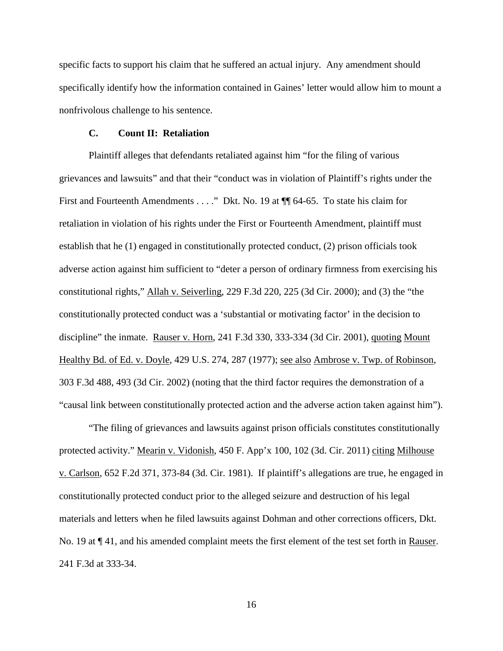specific facts to support his claim that he suffered an actual injury. Any amendment should specifically identify how the information contained in Gaines' letter would allow him to mount a nonfrivolous challenge to his sentence.

### **C. Count II: Retaliation**

Plaintiff alleges that defendants retaliated against him "for the filing of various grievances and lawsuits" and that their "conduct was in violation of Plaintiff's rights under the First and Fourteenth Amendments . . . ." Dkt. No. 19 at ¶ 64-65. To state his claim for retaliation in violation of his rights under the First or Fourteenth Amendment, plaintiff must establish that he (1) engaged in constitutionally protected conduct, (2) prison officials took adverse action against him sufficient to "deter a person of ordinary firmness from exercising his constitutional rights," Allah v. Seiverling, 229 F.3d 220, 225 (3d Cir. 2000); and (3) the "the constitutionally protected conduct was a 'substantial or motivating factor' in the decision to discipline" the inmate. Rauser v. Horn, 241 F.3d 330, 333-334 (3d Cir. 2001), quoting Mount Healthy Bd. of Ed. v. Doyle, 429 U.S. 274, 287 (1977); see also Ambrose v. Twp. of Robinson, 303 F.3d 488, 493 (3d Cir. 2002) (noting that the third factor requires the demonstration of a "causal link between constitutionally protected action and the adverse action taken against him").

"The filing of grievances and lawsuits against prison officials constitutes constitutionally protected activity." Mearin v. Vidonish, 450 F. App'x 100, 102 (3d. Cir. 2011) citing Milhouse v. Carlson, 652 F.2d 371, 373-84 (3d. Cir. 1981). If plaintiff's allegations are true, he engaged in constitutionally protected conduct prior to the alleged seizure and destruction of his legal materials and letters when he filed lawsuits against Dohman and other corrections officers, Dkt. No. 19 at ¶ 41, and his amended complaint meets the first element of the test set forth in Rauser. 241 F.3d at 333-34.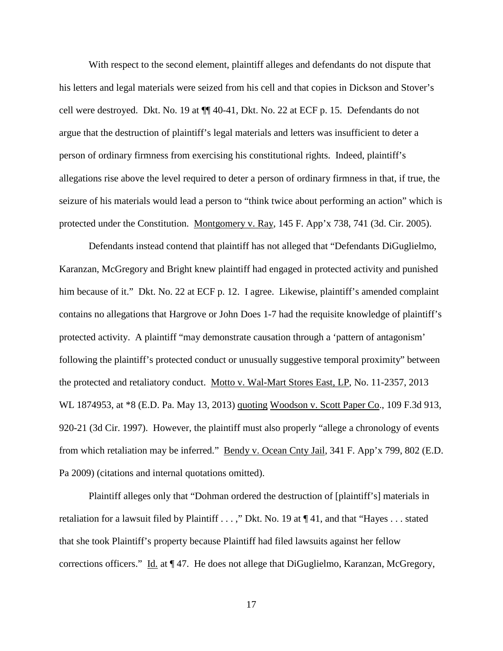With respect to the second element, plaintiff alleges and defendants do not dispute that his letters and legal materials were seized from his cell and that copies in Dickson and Stover's cell were destroyed. Dkt. No. 19 at ¶¶ 40-41, Dkt. No. 22 at ECF p. 15. Defendants do not argue that the destruction of plaintiff's legal materials and letters was insufficient to deter a person of ordinary firmness from exercising his constitutional rights. Indeed, plaintiff's allegations rise above the level required to deter a person of ordinary firmness in that, if true, the seizure of his materials would lead a person to "think twice about performing an action" which is protected under the Constitution. Montgomery v. Ray, 145 F. App'x 738, 741 (3d. Cir. 2005).

Defendants instead contend that plaintiff has not alleged that "Defendants DiGuglielmo, Karanzan, McGregory and Bright knew plaintiff had engaged in protected activity and punished him because of it." Dkt. No. 22 at ECF p. 12. I agree. Likewise, plaintiff's amended complaint contains no allegations that Hargrove or John Does 1-7 had the requisite knowledge of plaintiff's protected activity. A plaintiff "may demonstrate causation through a 'pattern of antagonism' following the plaintiff's protected conduct or unusually suggestive temporal proximity" between the protected and retaliatory conduct. Motto v. Wal-Mart Stores East, LP, No. 11-2357, 2013 WL 1874953, at \*8 (E.D. Pa. May 13, 2013) quoting Woodson v. Scott Paper Co., 109 F.3d 913, 920-21 (3d Cir. 1997). However, the plaintiff must also properly "allege a chronology of events from which retaliation may be inferred." Bendy v. Ocean Cnty Jail, 341 F. App'x 799, 802 (E.D. Pa 2009) (citations and internal quotations omitted).

Plaintiff alleges only that "Dohman ordered the destruction of [plaintiff's] materials in retaliation for a lawsuit filed by Plaintiff . . . ," Dkt. No. 19 at ¶ 41, and that "Hayes . . . stated that she took Plaintiff's property because Plaintiff had filed lawsuits against her fellow corrections officers." Id. at  $\P$  47. He does not allege that DiGuglielmo, Karanzan, McGregory,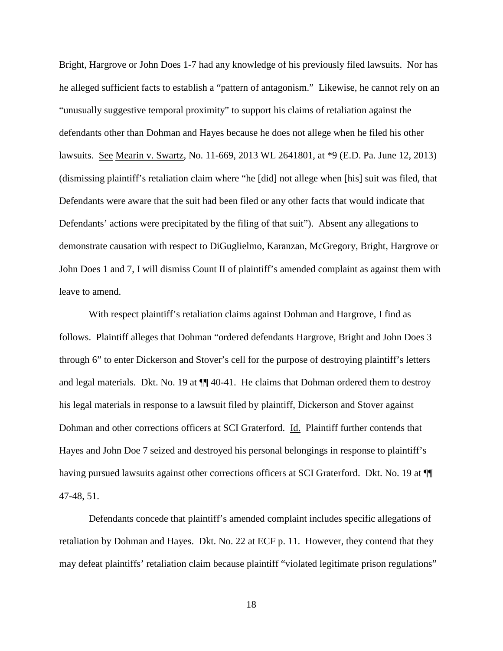Bright, Hargrove or John Does 1-7 had any knowledge of his previously filed lawsuits. Nor has he alleged sufficient facts to establish a "pattern of antagonism." Likewise, he cannot rely on an "unusually suggestive temporal proximity" to support his claims of retaliation against the defendants other than Dohman and Hayes because he does not allege when he filed his other lawsuits. See Mearin v. Swartz, No. 11-669, 2013 WL 2641801, at \*9 (E.D. Pa. June 12, 2013) (dismissing plaintiff's retaliation claim where "he [did] not allege when [his] suit was filed, that Defendants were aware that the suit had been filed or any other facts that would indicate that Defendants' actions were precipitated by the filing of that suit"). Absent any allegations to demonstrate causation with respect to DiGuglielmo, Karanzan, McGregory, Bright, Hargrove or John Does 1 and 7, I will dismiss Count II of plaintiff's amended complaint as against them with leave to amend.

With respect plaintiff's retaliation claims against Dohman and Hargrove, I find as follows. Plaintiff alleges that Dohman "ordered defendants Hargrove, Bright and John Does 3 through 6" to enter Dickerson and Stover's cell for the purpose of destroying plaintiff's letters and legal materials. Dkt. No. 19 at ¶¶ 40-41. He claims that Dohman ordered them to destroy his legal materials in response to a lawsuit filed by plaintiff, Dickerson and Stover against Dohman and other corrections officers at SCI Graterford. Id. Plaintiff further contends that Hayes and John Doe 7 seized and destroyed his personal belongings in response to plaintiff's having pursued lawsuits against other corrections officers at SCI Graterford. Dkt. No. 19 at  $\P$ 47-48, 51.

Defendants concede that plaintiff's amended complaint includes specific allegations of retaliation by Dohman and Hayes. Dkt. No. 22 at ECF p. 11. However, they contend that they may defeat plaintiffs' retaliation claim because plaintiff "violated legitimate prison regulations"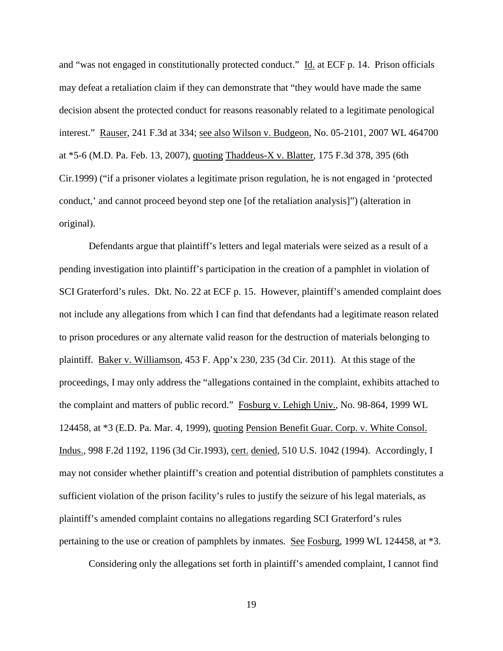and "was not engaged in constitutionally protected conduct." Id. at ECF p. 14. Prison officials may defeat a retaliation claim if they can demonstrate that "they would have made the same decision absent the protected conduct for reasons reasonably related to a legitimate penological interest." Rauser, 241 F.3d at 334; see also Wilson v. Budgeon, No. 05-2101, 2007 WL 464700 at \*5-6 (M.D. Pa. Feb. 13, 2007), quoting Thaddeus-X v. Blatter, 175 F.3d 378, 395 (6th Cir.1999) ("if a prisoner violates a legitimate prison regulation, he is not engaged in 'protected conduct,' and cannot proceed beyond step one [of the retaliation analysis]") (alteration in original).

Defendants argue that plaintiff's letters and legal materials were seized as a result of a pending investigation into plaintiff's participation in the creation of a pamphlet in violation of SCI Graterford's rules. Dkt. No. 22 at ECF p. 15. However, plaintiff's amended complaint does not include any allegations from which I can find that defendants had a legitimate reason related to prison procedures or any alternate valid reason for the destruction of materials belonging to plaintiff. Baker v. Williamson, 453 F. App'x 230, 235 (3d Cir. 2011). At this stage of the proceedings, I may only address the "allegations contained in the complaint, exhibits attached to the complaint and matters of public record." Fosburg v. Lehigh Univ., No. 98-864, 1999 WL 124458, at \*3 (E.D. Pa. Mar. 4, 1999), quoting Pension Benefit Guar. Corp. v. White Consol. Indus., 998 F.2d 1192, 1196 (3d Cir.1993), cert. denied, 510 U.S. 1042 (1994). Accordingly, I may not consider whether plaintiff's creation and potential distribution of pamphlets constitutes a sufficient violation of the prison facility's rules to justify the seizure of his legal materials, as plaintiff's amended complaint contains no allegations regarding SCI Graterford's rules pertaining to the use or creation of pamphlets by inmates. See Fosburg, 1999 WL 124458, at \*3.

Considering only the allegations set forth in plaintiff's amended complaint, I cannot find